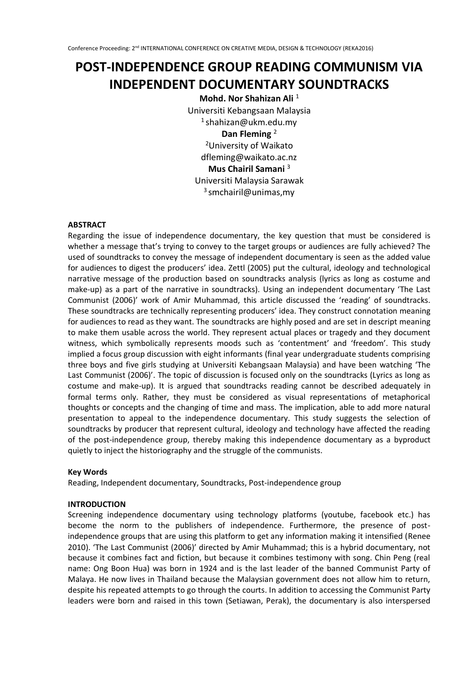# **POST-INDEPENDENCE GROUP READING COMMUNISM VIA INDEPENDENT DOCUMENTARY SOUNDTRACKS**

**Mohd. Nor Shahizan Ali** <sup>1</sup> Universiti Kebangsaan Malaysia 1 shahizan@ukm.edu.my **Dan Fleming** <sup>2</sup> <sup>2</sup>University of Waikato dfleming@waikato.ac.nz **Mus Chairil Samani** <sup>3</sup> Universiti Malaysia Sarawak 3 smchairil@unimas,my

## **ABSTRACT**

Regarding the issue of independence documentary, the key question that must be considered is whether a message that's trying to convey to the target groups or audiences are fully achieved? The used of soundtracks to convey the message of independent documentary is seen as the added value for audiences to digest the producers' idea. Zettl (2005) put the cultural, ideology and technological narrative message of the production based on soundtracks analysis (lyrics as long as costume and make-up) as a part of the narrative in soundtracks). Using an independent documentary 'The Last Communist (2006)' work of Amir Muhammad, this article discussed the 'reading' of soundtracks. These soundtracks are technically representing producers' idea. They construct connotation meaning for audiences to read as they want. The soundtracks are highly posed and are set in descript meaning to make them usable across the world. They represent actual places or tragedy and they document witness, which symbolically represents moods such as 'contentment' and 'freedom'. This study implied a focus group discussion with eight informants (final year undergraduate students comprising three boys and five girls studying at Universiti Kebangsaan Malaysia) and have been watching 'The Last Communist (2006)'. The topic of discussion is focused only on the soundtracks (Lyrics as long as costume and make-up). It is argued that soundtracks reading cannot be described adequately in formal terms only. Rather, they must be considered as visual representations of metaphorical thoughts or concepts and the changing of time and mass. The implication, able to add more natural presentation to appeal to the independence documentary. This study suggests the selection of soundtracks by producer that represent cultural, ideology and technology have affected the reading of the post-independence group, thereby making this independence documentary as a byproduct quietly to inject the historiography and the struggle of the communists.

## **Key Words**

Reading, Independent documentary, Soundtracks, Post-independence group

## **INTRODUCTION**

Screening independence documentary using technology platforms (youtube, facebook etc.) has become the norm to the publishers of independence. Furthermore, the presence of postindependence groups that are using this platform to get any information making it intensified (Renee 2010). 'The Last Communist (2006)' directed by Amir Muhammad; this is a hybrid documentary, not because it combines fact and fiction, but because it combines testimony with song. Chin Peng (real name: Ong Boon Hua) was born in 1924 and is the last leader of the banned Communist Party of Malaya. He now lives in Thailand because the Malaysian government does not allow him to return, despite his repeated attempts to go through the courts. In addition to accessing the Communist Party leaders were born and raised in this town (Setiawan, Perak), the documentary is also interspersed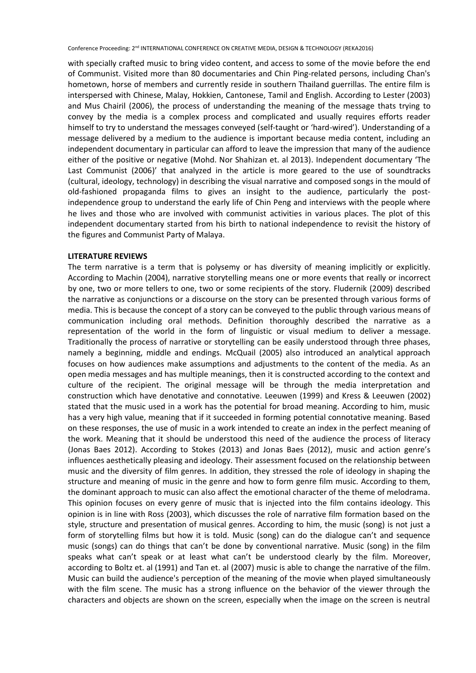with specially crafted music to bring video content, and access to some of the movie before the end of Communist. Visited more than 80 documentaries and Chin Ping-related persons, including Chan's hometown, horse of members and currently reside in southern Thailand guerrillas. The entire film is interspersed with Chinese, Malay, Hokkien, Cantonese, Tamil and English. According to Lester (2003) and Mus Chairil (2006), the process of understanding the meaning of the message thats trying to convey by the media is a complex process and complicated and usually requires efforts reader himself to try to understand the messages conveyed (self-taught or 'hard-wired'). Understanding of a message delivered by a medium to the audience is important because media content, including an independent documentary in particular can afford to leave the impression that many of the audience either of the positive or negative (Mohd. Nor Shahizan et. al 2013). Independent documentary 'The Last Communist (2006)' that analyzed in the article is more geared to the use of soundtracks (cultural, ideology, technology) in describing the visual narrative and composed songs in the mould of old-fashioned propaganda films to gives an insight to the audience, particularly the postindependence group to understand the early life of Chin Peng and interviews with the people where he lives and those who are involved with communist activities in various places. The plot of this independent documentary started from his birth to national independence to revisit the history of the figures and Communist Party of Malaya.

#### **LITERATURE REVIEWS**

The term narrative is a term that is polysemy or has diversity of meaning implicitly or explicitly. According to Machin (2004), narrative storytelling means one or more events that really or incorrect by one, two or more tellers to one, two or some recipients of the story. Fludernik (2009) described the narrative as conjunctions or a discourse on the story can be presented through various forms of media. This is because the concept of a story can be conveyed to the public through various means of communication including oral methods. Definition thoroughly described the narrative as a representation of the world in the form of linguistic or visual medium to deliver a message. Traditionally the process of narrative or storytelling can be easily understood through three phases, namely a beginning, middle and endings. McQuail (2005) also introduced an analytical approach focuses on how audiences make assumptions and adjustments to the content of the media. As an open media messages and has multiple meanings, then it is constructed according to the context and culture of the recipient. The original message will be through the media interpretation and construction which have denotative and connotative. Leeuwen (1999) and Kress & Leeuwen (2002) stated that the music used in a work has the potential for broad meaning. According to him, music has a very high value, meaning that if it succeeded in forming potential connotative meaning. Based on these responses, the use of music in a work intended to create an index in the perfect meaning of the work. Meaning that it should be understood this need of the audience the process of literacy (Jonas Baes 2012). According to Stokes (2013) and Jonas Baes (2012), music and action genre's influences aesthetically pleasing and ideology. Their assessment focused on the relationship between music and the diversity of film genres. In addition, they stressed the role of ideology in shaping the structure and meaning of music in the genre and how to form genre film music. According to them, the dominant approach to music can also affect the emotional character of the theme of melodrama. This opinion focuses on every genre of music that is injected into the film contains ideology. This opinion is in line with Ross (2003), which discusses the role of narrative film formation based on the style, structure and presentation of musical genres. According to him, the music (song) is not just a form of storytelling films but how it is told. Music (song) can do the dialogue can't and sequence music (songs) can do things that can't be done by conventional narrative. Music (song) in the film speaks what can't speak or at least what can't be understood clearly by the film. Moreover, according to Boltz et. al (1991) and Tan et. al (2007) music is able to change the narrative of the film. Music can build the audience's perception of the meaning of the movie when played simultaneously with the film scene. The music has a strong influence on the behavior of the viewer through the characters and objects are shown on the screen, especially when the image on the screen is neutral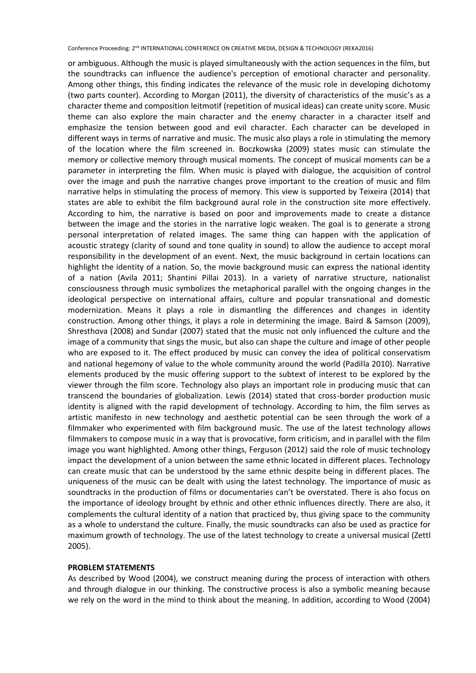or ambiguous. Although the music is played simultaneously with the action sequences in the film, but the soundtracks can influence the audience's perception of emotional character and personality. Among other things, this finding indicates the relevance of the music role in developing dichotomy (two parts counter). According to Morgan (2011), the diversity of characteristics of the music's as a character theme and composition leitmotif (repetition of musical ideas) can create unity score. Music theme can also explore the main character and the enemy character in a character itself and emphasize the tension between good and evil character. Each character can be developed in different ways in terms of narrative and music. The music also plays a role in stimulating the memory of the location where the film screened in. Boczkowska (2009) states music can stimulate the memory or collective memory through musical moments. The concept of musical moments can be a parameter in interpreting the film. When music is played with dialogue, the acquisition of control over the image and push the narrative changes prove important to the creation of music and film narrative helps in stimulating the process of memory. This view is supported by Teixeira (2014) that states are able to exhibit the film background aural role in the construction site more effectively. According to him, the narrative is based on poor and improvements made to create a distance between the image and the stories in the narrative logic weaken. The goal is to generate a strong personal interpretation of related images. The same thing can happen with the application of acoustic strategy (clarity of sound and tone quality in sound) to allow the audience to accept moral responsibility in the development of an event. Next, the music background in certain locations can highlight the identity of a nation. So, the movie background music can express the national identity of a nation (Avila 2011; Shantini Pillai 2013). In a variety of narrative structure, nationalist consciousness through music symbolizes the metaphorical parallel with the ongoing changes in the ideological perspective on international affairs, culture and popular transnational and domestic modernization. Means it plays a role in dismantling the differences and changes in identity construction. Among other things, it plays a role in determining the image. Baird & Samson (2009), Shresthova (2008) and Sundar (2007) stated that the music not only influenced the culture and the image of a community that sings the music, but also can shape the culture and image of other people who are exposed to it. The effect produced by music can convey the idea of political conservatism and national hegemony of value to the whole community around the world (Padilla 2010). Narrative elements produced by the music offering support to the subtext of interest to be explored by the viewer through the film score. Technology also plays an important role in producing music that can transcend the boundaries of globalization. Lewis (2014) stated that cross-border production music identity is aligned with the rapid development of technology. According to him, the film serves as artistic manifesto in new technology and aesthetic potential can be seen through the work of a filmmaker who experimented with film background music. The use of the latest technology allows filmmakers to compose music in a way that is provocative, form criticism, and in parallel with the film image you want highlighted. Among other things, Ferguson (2012) said the role of music technology impact the development of a union between the same ethnic located in different places. Technology can create music that can be understood by the same ethnic despite being in different places. The uniqueness of the music can be dealt with using the latest technology. The importance of music as soundtracks in the production of films or documentaries can't be overstated. There is also focus on the importance of ideology brought by ethnic and other ethnic influences directly. There are also, it complements the cultural identity of a nation that practiced by, thus giving space to the community as a whole to understand the culture. Finally, the music soundtracks can also be used as practice for maximum growth of technology. The use of the latest technology to create a universal musical (Zettl 2005).

#### **PROBLEM STATEMENTS**

As described by Wood (2004), we construct meaning during the process of interaction with others and through dialogue in our thinking. The constructive process is also a symbolic meaning because we rely on the word in the mind to think about the meaning. In addition, according to Wood (2004)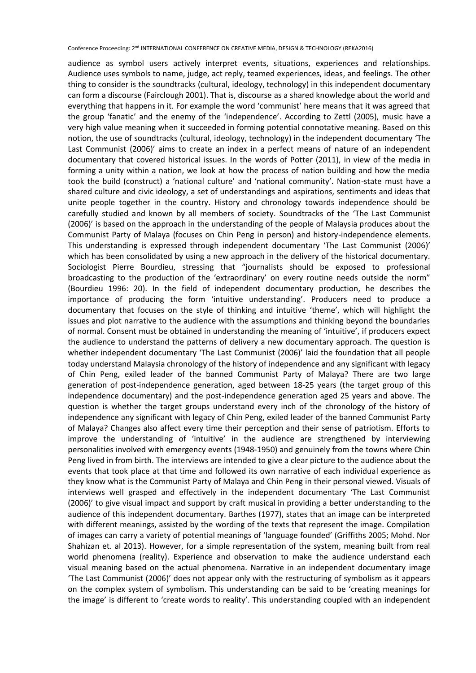audience as symbol users actively interpret events, situations, experiences and relationships. Audience uses symbols to name, judge, act reply, teamed experiences, ideas, and feelings. The other thing to consider is the soundtracks (cultural, ideology, technology) in this independent documentary can form a discourse (Fairclough 2001). That is, discourse as a shared knowledge about the world and everything that happens in it. For example the word 'communist' here means that it was agreed that the group 'fanatic' and the enemy of the 'independence'. According to Zettl (2005), music have a very high value meaning when it succeeded in forming potential connotative meaning. Based on this notion, the use of soundtracks (cultural, ideology, technology) in the independent documentary 'The Last Communist (2006)' aims to create an index in a perfect means of nature of an independent documentary that covered historical issues. In the words of Potter (2011), in view of the media in forming a unity within a nation, we look at how the process of nation building and how the media took the build (construct) a 'national culture' and 'national community'. Nation-state must have a shared culture and civic ideology, a set of understandings and aspirations, sentiments and ideas that unite people together in the country. History and chronology towards independence should be carefully studied and known by all members of society. Soundtracks of the 'The Last Communist (2006)' is based on the approach in the understanding of the people of Malaysia produces about the Communist Party of Malaya (focuses on Chin Peng in person) and history-independence elements. This understanding is expressed through independent documentary 'The Last Communist (2006)' which has been consolidated by using a new approach in the delivery of the historical documentary. Sociologist Pierre Bourdieu, stressing that "journalists should be exposed to professional broadcasting to the production of the 'extraordinary' on every routine needs outside the norm" (Bourdieu 1996: 20). In the field of independent documentary production, he describes the importance of producing the form 'intuitive understanding'. Producers need to produce a documentary that focuses on the style of thinking and intuitive 'theme', which will highlight the issues and plot narrative to the audience with the assumptions and thinking beyond the boundaries of normal. Consent must be obtained in understanding the meaning of 'intuitive', if producers expect the audience to understand the patterns of delivery a new documentary approach. The question is whether independent documentary 'The Last Communist (2006)' laid the foundation that all people today understand Malaysia chronology of the history of independence and any significant with legacy of Chin Peng, exiled leader of the banned Communist Party of Malaya? There are two large generation of post-independence generation, aged between 18-25 years (the target group of this independence documentary) and the post-independence generation aged 25 years and above. The question is whether the target groups understand every inch of the chronology of the history of independence any significant with legacy of Chin Peng, exiled leader of the banned Communist Party of Malaya? Changes also affect every time their perception and their sense of patriotism. Efforts to improve the understanding of 'intuitive' in the audience are strengthened by interviewing personalities involved with emergency events (1948-1950) and genuinely from the towns where Chin Peng lived in from birth. The interviews are intended to give a clear picture to the audience about the events that took place at that time and followed its own narrative of each individual experience as they know what is the Communist Party of Malaya and Chin Peng in their personal viewed. Visuals of interviews well grasped and effectively in the independent documentary 'The Last Communist (2006)' to give visual impact and support by craft musical in providing a better understanding to the audience of this independent documentary. Barthes (1977), states that an image can be interpreted with different meanings, assisted by the wording of the texts that represent the image. Compilation of images can carry a variety of potential meanings of 'language founded' (Griffiths 2005; Mohd. Nor Shahizan et. al 2013). However, for a simple representation of the system, meaning built from real world phenomena (reality). Experience and observation to make the audience understand each visual meaning based on the actual phenomena. Narrative in an independent documentary image 'The Last Communist (2006)' does not appear only with the restructuring of symbolism as it appears on the complex system of symbolism. This understanding can be said to be 'creating meanings for the image' is different to 'create words to reality'. This understanding coupled with an independent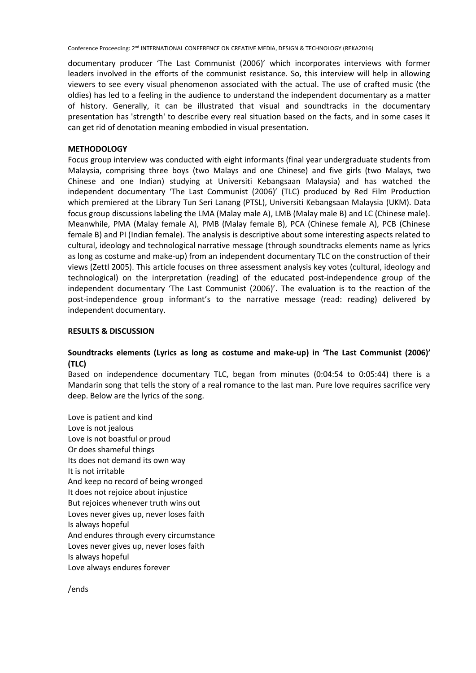documentary producer 'The Last Communist (2006)' which incorporates interviews with former leaders involved in the efforts of the communist resistance. So, this interview will help in allowing viewers to see every visual phenomenon associated with the actual. The use of crafted music (the oldies) has led to a feeling in the audience to understand the independent documentary as a matter of history. Generally, it can be illustrated that visual and soundtracks in the documentary presentation has 'strength' to describe every real situation based on the facts, and in some cases it can get rid of denotation meaning embodied in visual presentation.

## **METHODOLOGY**

Focus group interview was conducted with eight informants (final year undergraduate students from Malaysia, comprising three boys (two Malays and one Chinese) and five girls (two Malays, two Chinese and one Indian) studying at Universiti Kebangsaan Malaysia) and has watched the independent documentary 'The Last Communist (2006)' (TLC) produced by Red Film Production which premiered at the Library Tun Seri Lanang (PTSL), Universiti Kebangsaan Malaysia (UKM). Data focus group discussions labeling the LMA (Malay male A), LMB (Malay male B) and LC (Chinese male). Meanwhile, PMA (Malay female A), PMB (Malay female B), PCA (Chinese female A), PCB (Chinese female B) and PI (Indian female). The analysis is descriptive about some interesting aspects related to cultural, ideology and technological narrative message (through soundtracks elements name as lyrics as long as costume and make-up) from an independent documentary TLC on the construction of their views (Zettl 2005). This article focuses on three assessment analysis key votes (cultural, ideology and technological) on the interpretation (reading) of the educated post-independence group of the independent documentary 'The Last Communist (2006)'. The evaluation is to the reaction of the post-independence group informant's to the narrative message (read: reading) delivered by independent documentary.

## **RESULTS & DISCUSSION**

## **Soundtracks elements (Lyrics as long as costume and make-up) in 'The Last Communist (2006)' (TLC)**

Based on independence documentary TLC, began from minutes (0:04:54 to 0:05:44) there is a Mandarin song that tells the story of a real romance to the last man. Pure love requires sacrifice very deep. Below are the lyrics of the song.

Love is patient and kind Love is not jealous Love is not boastful or proud Or does shameful things Its does not demand its own way It is not irritable And keep no record of being wronged It does not rejoice about injustice But rejoices whenever truth wins out Loves never gives up, never loses faith Is always hopeful And endures through every circumstance Loves never gives up, never loses faith Is always hopeful Love always endures forever

/ends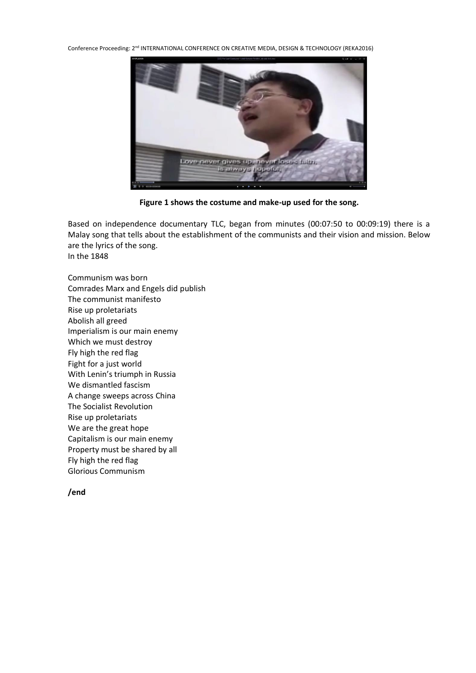

**Figure 1 shows the costume and make-up used for the song.**

Based on independence documentary TLC, began from minutes (00:07:50 to 00:09:19) there is a Malay song that tells about the establishment of the communists and their vision and mission. Below are the lyrics of the song.

In the 1848

Communism was born Comrades Marx and Engels did publish The communist manifesto Rise up proletariats Abolish all greed Imperialism is our main enemy Which we must destroy Fly high the red flag Fight for a just world With Lenin's triumph in Russia We dismantled fascism A change sweeps across China The Socialist Revolution Rise up proletariats We are the great hope Capitalism is our main enemy Property must be shared by all Fly high the red flag Glorious Communism

## **/end**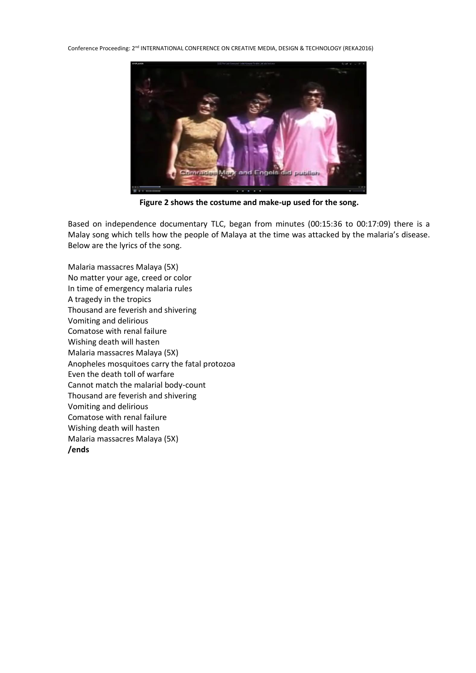

**Figure 2 shows the costume and make-up used for the song.**

Based on independence documentary TLC, began from minutes (00:15:36 to 00:17:09) there is a Malay song which tells how the people of Malaya at the time was attacked by the malaria's disease. Below are the lyrics of the song.

Malaria massacres Malaya (5X) No matter your age, creed or color In time of emergency malaria rules A tragedy in the tropics Thousand are feverish and shivering Vomiting and delirious Comatose with renal failure Wishing death will hasten Malaria massacres Malaya (5X) Anopheles mosquitoes carry the fatal protozoa Even the death toll of warfare Cannot match the malarial body-count Thousand are feverish and shivering Vomiting and delirious Comatose with renal failure Wishing death will hasten Malaria massacres Malaya (5X) **/ends**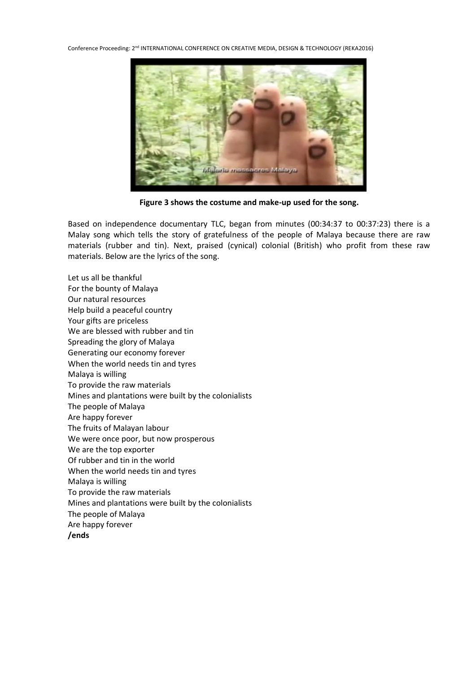

**Figure 3 shows the costume and make-up used for the song.**

Based on independence documentary TLC, began from minutes (00:34:37 to 00:37:23) there is a Malay song which tells the story of gratefulness of the people of Malaya because there are raw materials (rubber and tin). Next, praised (cynical) colonial (British) who profit from these raw materials. Below are the lyrics of the song.

Let us all be thankful For the bounty of Malaya Our natural resources Help build a peaceful country Your gifts are priceless We are blessed with rubber and tin Spreading the glory of Malaya Generating our economy forever When the world needs tin and tyres Malaya is willing To provide the raw materials Mines and plantations were built by the colonialists The people of Malaya Are happy forever The fruits of Malayan labour We were once poor, but now prosperous We are the top exporter Of rubber and tin in the world When the world needs tin and tyres Malaya is willing To provide the raw materials Mines and plantations were built by the colonialists The people of Malaya Are happy forever **/ends**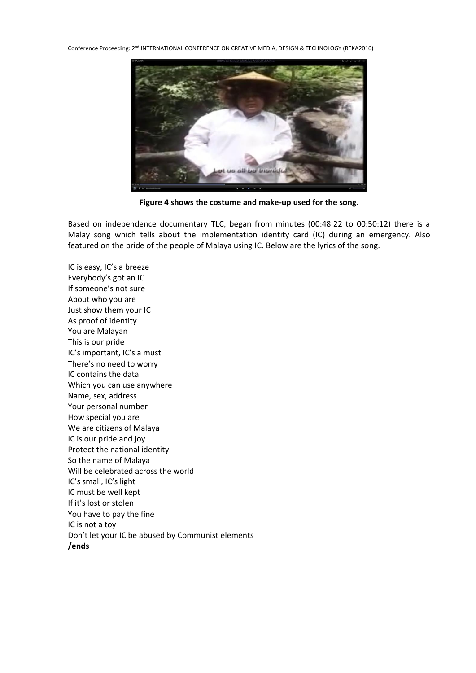

**Figure 4 shows the costume and make-up used for the song.**

Based on independence documentary TLC, began from minutes (00:48:22 to 00:50:12) there is a Malay song which tells about the implementation identity card (IC) during an emergency. Also featured on the pride of the people of Malaya using IC. Below are the lyrics of the song.

IC is easy, IC's a breeze Everybody's got an IC If someone's not sure About who you are Just show them your IC As proof of identity You are Malayan This is our pride IC's important, IC's a must There's no need to worry IC contains the data Which you can use anywhere Name, sex, address Your personal number How special you are We are citizens of Malaya IC is our pride and joy Protect the national identity So the name of Malaya Will be celebrated across the world IC's small, IC's light IC must be well kept If it's lost or stolen You have to pay the fine IC is not a toy Don't let your IC be abused by Communist elements **/ends**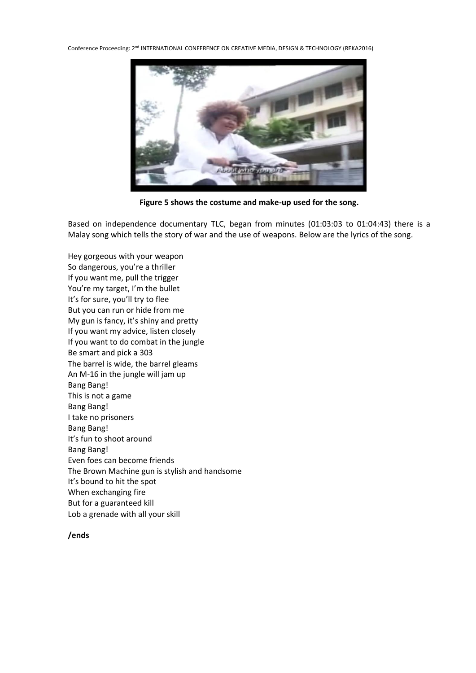

**Figure 5 shows the costume and make-up used for the song.**

Based on independence documentary TLC, began from minutes (01:03:03 to 01:04:43) there is a Malay song which tells the story of war and the use of weapons. Below are the lyrics of the song.

Hey gorgeous with your weapon So dangerous, you're a thriller If you want me, pull the trigger You're my target, I'm the bullet It's for sure, you'll try to flee But you can run or hide from me My gun is fancy, it's shiny and pretty If you want my advice, listen closely If you want to do combat in the jungle Be smart and pick a 303 The barrel is wide, the barrel gleams An M-16 in the jungle will jam up Bang Bang! This is not a game Bang Bang! I take no prisoners Bang Bang! It's fun to shoot around Bang Bang! Even foes can become friends The Brown Machine gun is stylish and handsome It's bound to hit the spot When exchanging fire But for a guaranteed kill Lob a grenade with all your skill

## **/ends**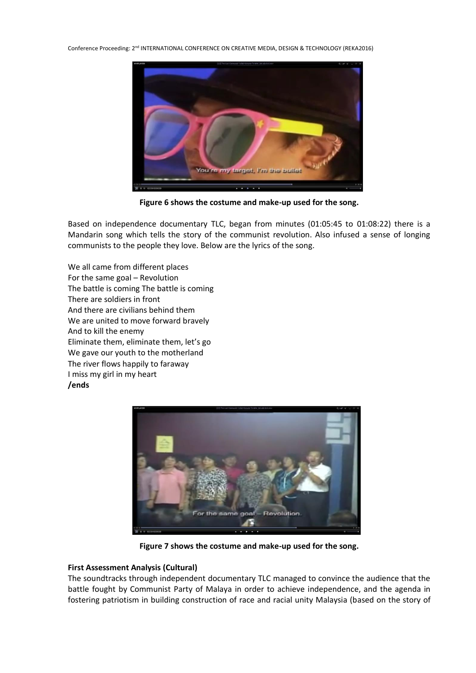

**Figure 6 shows the costume and make-up used for the song.**

Based on independence documentary TLC, began from minutes (01:05:45 to 01:08:22) there is a Mandarin song which tells the story of the communist revolution. Also infused a sense of longing communists to the people they love. Below are the lyrics of the song.

We all came from different places For the same goal – Revolution The battle is coming The battle is coming There are soldiers in front And there are civilians behind them We are united to move forward bravely And to kill the enemy Eliminate them, eliminate them, let's go We gave our youth to the motherland The river flows happily to faraway I miss my girl in my heart **/ends**



**Figure 7 shows the costume and make-up used for the song.**

## **First Assessment Analysis (Cultural)**

The soundtracks through independent documentary TLC managed to convince the audience that the battle fought by Communist Party of Malaya in order to achieve independence, and the agenda in fostering patriotism in building construction of race and racial unity Malaysia (based on the story of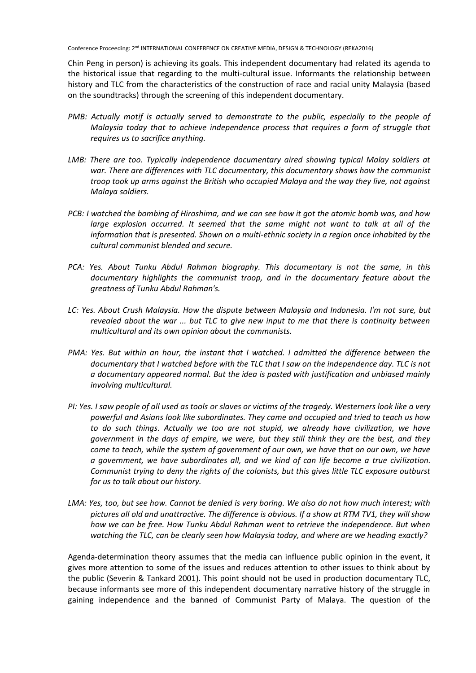Chin Peng in person) is achieving its goals. This independent documentary had related its agenda to the historical issue that regarding to the multi-cultural issue. Informants the relationship between history and TLC from the characteristics of the construction of race and racial unity Malaysia (based on the soundtracks) through the screening of this independent documentary.

- *PMB: Actually motif is actually served to demonstrate to the public, especially to the people of Malaysia today that to achieve independence process that requires a form of struggle that requires us to sacrifice anything.*
- *LMB: There are too. Typically independence documentary aired showing typical Malay soldiers at war. There are differences with TLC documentary, this documentary shows how the communist troop took up arms against the British who occupied Malaya and the way they live, not against Malaya soldiers.*
- *PCB: I watched the bombing of Hiroshima, and we can see how it got the atomic bomb was, and how large explosion occurred. It seemed that the same might not want to talk at all of the information that is presented. Shown on a multi-ethnic society in a region once inhabited by the cultural communist blended and secure.*
- *PCA: Yes. About Tunku Abdul Rahman biography. This documentary is not the same, in this documentary highlights the communist troop, and in the documentary feature about the greatness of Tunku Abdul Rahman's.*
- *LC: Yes. About Crush Malaysia. How the dispute between Malaysia and Indonesia. I'm not sure, but revealed about the war ... but TLC to give new input to me that there is continuity between multicultural and its own opinion about the communists.*
- *PMA: Yes. But within an hour, the instant that I watched. I admitted the difference between the documentary that I watched before with the TLC that I saw on the independence day. TLC is not a documentary appeared normal. But the idea is pasted with justification and unbiased mainly involving multicultural.*
- *PI: Yes. I saw people of all used as tools or slaves or victims of the tragedy. Westerners look like a very powerful and Asians look like subordinates. They came and occupied and tried to teach us how to do such things. Actually we too are not stupid, we already have civilization, we have government in the days of empire, we were, but they still think they are the best, and they come to teach, while the system of government of our own, we have that on our own, we have a government, we have subordinates all, and we kind of can life become a true civilization. Communist trying to deny the rights of the colonists, but this gives little TLC exposure outburst for us to talk about our history.*
- *LMA: Yes, too, but see how. Cannot be denied is very boring. We also do not how much interest; with pictures all old and unattractive. The difference is obvious. If a show at RTM TV1, they will show how we can be free. How Tunku Abdul Rahman went to retrieve the independence. But when watching the TLC, can be clearly seen how Malaysia today, and where are we heading exactly?*

Agenda-determination theory assumes that the media can influence public opinion in the event, it gives more attention to some of the issues and reduces attention to other issues to think about by the public (Severin & Tankard 2001). This point should not be used in production documentary TLC, because informants see more of this independent documentary narrative history of the struggle in gaining independence and the banned of Communist Party of Malaya. The question of the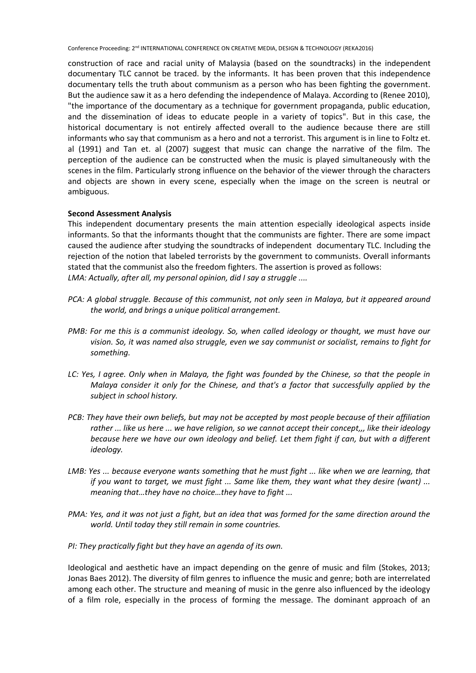construction of race and racial unity of Malaysia (based on the soundtracks) in the independent documentary TLC cannot be traced. by the informants. It has been proven that this independence documentary tells the truth about communism as a person who has been fighting the government. But the audience saw it as a hero defending the independence of Malaya. According to (Renee 2010), "the importance of the documentary as a technique for government propaganda, public education, and the dissemination of ideas to educate people in a variety of topics". But in this case, the historical documentary is not entirely affected overall to the audience because there are still informants who say that communism as a hero and not a terrorist. This argument is in line to Foltz et. al (1991) and Tan et. al (2007) suggest that music can change the narrative of the film. The perception of the audience can be constructed when the music is played simultaneously with the scenes in the film. Particularly strong influence on the behavior of the viewer through the characters and objects are shown in every scene, especially when the image on the screen is neutral or ambiguous.

#### **Second Assessment Analysis**

This independent documentary presents the main attention especially ideological aspects inside informants. So that the informants thought that the communists are fighter. There are some impact caused the audience after studying the soundtracks of independent documentary TLC. Including the rejection of the notion that labeled terrorists by the government to communists. Overall informants stated that the communist also the freedom fighters. The assertion is proved as follows: *LMA: Actually, after all, my personal opinion, did I say a struggle ....*

- *PCA: A global struggle. Because of this communist, not only seen in Malaya, but it appeared around the world, and brings a unique political arrangement.*
- *PMB: For me this is a communist ideology. So, when called ideology or thought, we must have our vision. So, it was named also struggle, even we say communist or socialist, remains to fight for something.*
- *LC: Yes, I agree. Only when in Malaya, the fight was founded by the Chinese, so that the people in Malaya consider it only for the Chinese, and that's a factor that successfully applied by the subject in school history.*
- *PCB: They have their own beliefs, but may not be accepted by most people because of their affiliation rather ... like us here ... we have religion, so we cannot accept their concept,,, like their ideology because here we have our own ideology and belief. Let them fight if can, but with a different ideology.*
- *LMB: Yes ... because everyone wants something that he must fight ... like when we are learning, that if you want to target, we must fight ... Same like them, they want what they desire (want) ... meaning that…they have no choice…they have to fight ...*
- *PMA: Yes, and it was not just a fight, but an idea that was formed for the same direction around the world. Until today they still remain in some countries.*
- *PI: They practically fight but they have an agenda of its own.*

Ideological and aesthetic have an impact depending on the genre of music and film (Stokes, 2013; Jonas Baes 2012). The diversity of film genres to influence the music and genre; both are interrelated among each other. The structure and meaning of music in the genre also influenced by the ideology of a film role, especially in the process of forming the message. The dominant approach of an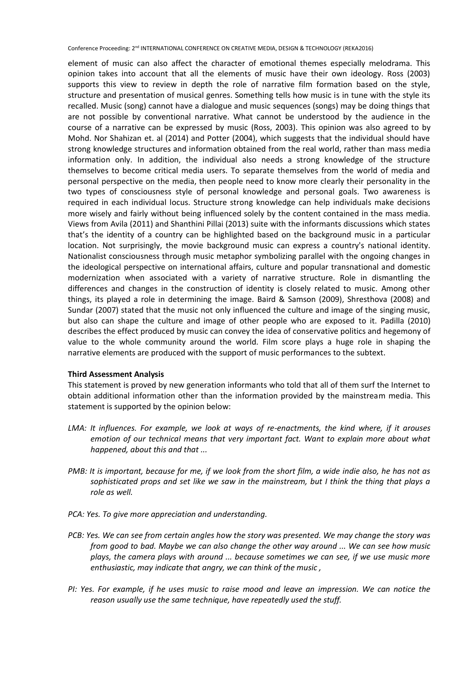element of music can also affect the character of emotional themes especially melodrama. This opinion takes into account that all the elements of music have their own ideology. Ross (2003) supports this view to review in depth the role of narrative film formation based on the style, structure and presentation of musical genres. Something tells how music is in tune with the style its recalled. Music (song) cannot have a dialogue and music sequences (songs) may be doing things that are not possible by conventional narrative. What cannot be understood by the audience in the course of a narrative can be expressed by music (Ross, 2003). This opinion was also agreed to by Mohd. Nor Shahizan et. al (2014) and Potter (2004), which suggests that the individual should have strong knowledge structures and information obtained from the real world, rather than mass media information only. In addition, the individual also needs a strong knowledge of the structure themselves to become critical media users. To separate themselves from the world of media and personal perspective on the media, then people need to know more clearly their personality in the two types of consciousness style of personal knowledge and personal goals. Two awareness is required in each individual locus. Structure strong knowledge can help individuals make decisions more wisely and fairly without being influenced solely by the content contained in the mass media. Views from Avila (2011) and Shanthini Pillai (2013) suite with the informants discussions which states that's the identity of a country can be highlighted based on the background music in a particular location. Not surprisingly, the movie background music can express a country's national identity. Nationalist consciousness through music metaphor symbolizing parallel with the ongoing changes in the ideological perspective on international affairs, culture and popular transnational and domestic modernization when associated with a variety of narrative structure. Role in dismantling the differences and changes in the construction of identity is closely related to music. Among other things, its played a role in determining the image. Baird & Samson (2009), Shresthova (2008) and Sundar (2007) stated that the music not only influenced the culture and image of the singing music, but also can shape the culture and image of other people who are exposed to it. Padilla (2010) describes the effect produced by music can convey the idea of conservative politics and hegemony of value to the whole community around the world. Film score plays a huge role in shaping the narrative elements are produced with the support of music performances to the subtext.

#### **Third Assessment Analysis**

This statement is proved by new generation informants who told that all of them surf the Internet to obtain additional information other than the information provided by the mainstream media. This statement is supported by the opinion below:

- *LMA: It influences. For example, we look at ways of re-enactments, the kind where, if it arouses emotion of our technical means that very important fact. Want to explain more about what happened, about this and that ...*
- *PMB: It is important, because for me, if we look from the short film, a wide indie also, he has not as sophisticated props and set like we saw in the mainstream, but I think the thing that plays a role as well.*
- *PCA: Yes. To give more appreciation and understanding.*
- *PCB: Yes. We can see from certain angles how the story was presented. We may change the story was from good to bad. Maybe we can also change the other way around ... We can see how music plays, the camera plays with around ... because sometimes we can see, if we use music more enthusiastic, may indicate that angry, we can think of the music ,*
- *PI: Yes. For example, if he uses music to raise mood and leave an impression. We can notice the reason usually use the same technique, have repeatedly used the stuff.*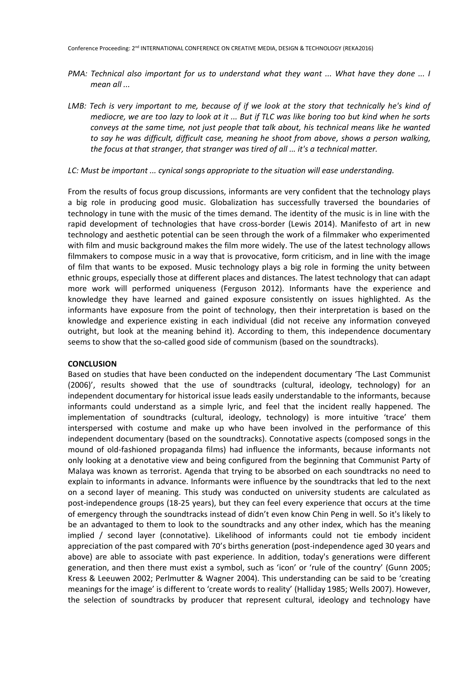- *PMA: Technical also important for us to understand what they want ... What have they done ... I mean all ...*
- *LMB: Tech is very important to me, because of if we look at the story that technically he's kind of mediocre, we are too lazy to look at it ... But if TLC was like boring too but kind when he sorts conveys at the same time, not just people that talk about, his technical means like he wanted to say he was difficult, difficult case, meaning he shoot from above, shows a person walking, the focus at that stranger, that stranger was tired of all ... it's a technical matter.*

#### *LC: Must be important ... cynical songs appropriate to the situation will ease understanding.*

From the results of focus group discussions, informants are very confident that the technology plays a big role in producing good music. Globalization has successfully traversed the boundaries of technology in tune with the music of the times demand. The identity of the music is in line with the rapid development of technologies that have cross-border (Lewis 2014). Manifesto of art in new technology and aesthetic potential can be seen through the work of a filmmaker who experimented with film and music background makes the film more widely. The use of the latest technology allows filmmakers to compose music in a way that is provocative, form criticism, and in line with the image of film that wants to be exposed. Music technology plays a big role in forming the unity between ethnic groups, especially those at different places and distances. The latest technology that can adapt more work will performed uniqueness (Ferguson 2012). Informants have the experience and knowledge they have learned and gained exposure consistently on issues highlighted. As the informants have exposure from the point of technology, then their interpretation is based on the knowledge and experience existing in each individual (did not receive any information conveyed outright, but look at the meaning behind it). According to them, this independence documentary seems to show that the so-called good side of communism (based on the soundtracks).

#### **CONCLUSION**

Based on studies that have been conducted on the independent documentary 'The Last Communist (2006)', results showed that the use of soundtracks (cultural, ideology, technology) for an independent documentary for historical issue leads easily understandable to the informants, because informants could understand as a simple lyric, and feel that the incident really happened. The implementation of soundtracks (cultural, ideology, technology) is more intuitive 'trace' them interspersed with costume and make up who have been involved in the performance of this independent documentary (based on the soundtracks). Connotative aspects (composed songs in the mound of old-fashioned propaganda films) had influence the informants, because informants not only looking at a denotative view and being configured from the beginning that Communist Party of Malaya was known as terrorist. Agenda that trying to be absorbed on each soundtracks no need to explain to informants in advance. Informants were influence by the soundtracks that led to the next on a second layer of meaning. This study was conducted on university students are calculated as post-independence groups (18-25 years), but they can feel every experience that occurs at the time of emergency through the soundtracks instead of didn't even know Chin Peng in well. So it's likely to be an advantaged to them to look to the soundtracks and any other index, which has the meaning implied / second layer (connotative). Likelihood of informants could not tie embody incident appreciation of the past compared with 70's births generation (post-independence aged 30 years and above) are able to associate with past experience. In addition, today's generations were different generation, and then there must exist a symbol, such as 'icon' or 'rule of the country' (Gunn 2005; Kress & Leeuwen 2002; Perlmutter & Wagner 2004). This understanding can be said to be 'creating meanings for the image' is different to 'create words to reality' (Halliday 1985; Wells 2007). However, the selection of soundtracks by producer that represent cultural, ideology and technology have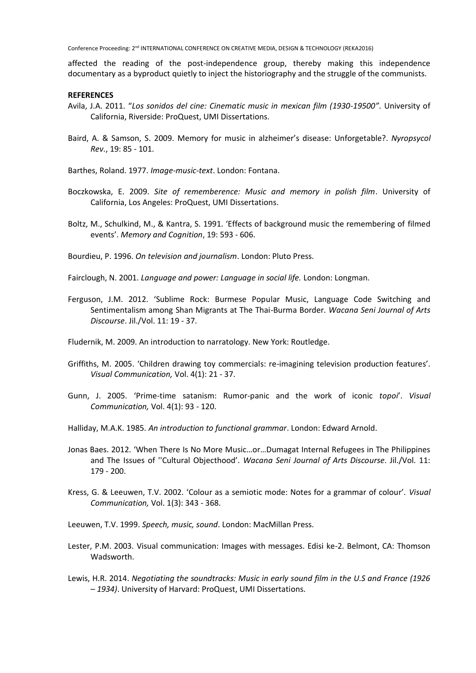affected the reading of the post-independence group, thereby making this independence documentary as a byproduct quietly to inject the historiography and the struggle of the communists.

#### **REFERENCES**

- Avila, J.A. 2011. "*Los sonidos del cine: Cinematic music in mexican film (1930-19500"*. University of California, Riverside: ProQuest, UMI Dissertations.
- Baird, A. & Samson, S. 2009. Memory for music in alzheimer's disease: Unforgetable?. *Nyropsycol Rev.*, 19: 85 - 101.
- Barthes, Roland. 1977. *Image-music-text*. London: Fontana.
- Boczkowska, E. 2009. *Site of rememberence: Music and memory in polish film*. University of California, Los Angeles: ProQuest, UMI Dissertations.
- Boltz, M., Schulkind, M., & Kantra, S. 1991. 'Effects of background music the remembering of filmed events'. *Memory and Cognition*, 19: 593 - 606.
- Bourdieu, P. 1996. *On television and journalism*. London: Pluto Press.

Fairclough, N. 2001. *Language and power: Language in social life.* London: Longman.

Ferguson, J.M. 2012. 'Sublime Rock: Burmese Popular Music, Language Code Switching and Sentimentalism among Shan Migrants at The Thai-Burma Border. *Wacana Seni Journal of Arts Discourse*. Jil./Vol. 11: 19 - 37.

Fludernik, M. 2009. An introduction to narratology. New York: Routledge.

- Griffiths, M. 2005. 'Children drawing toy commercials: re-imagining television production features'. *Visual Communication,* Vol. 4(1): 21 - 37.
- Gunn, J. 2005. 'Prime-time satanism: Rumor-panic and the work of iconic *topoi*'. *Visual Communication,* Vol. 4(1): 93 - 120.
- Halliday, M.A.K. 1985. *An introduction to functional grammar*. London: Edward Arnold.
- Jonas Baes. 2012. 'When There Is No More Music…or…Dumagat Internal Refugees in The Philippines and The Issues of ''Cultural Objecthood'. *Wacana Seni Journal of Arts Discourse*. Jil./Vol. 11: 179 - 200.
- Kress, G. & Leeuwen, T.V. 2002. 'Colour as a semiotic mode: Notes for a grammar of colour'. *Visual Communication,* Vol. 1(3): 343 - 368.
- Leeuwen, T.V. 1999. *Speech, music, sound*. London: MacMillan Press.
- Lester, P.M. 2003. Visual communication: Images with messages. Edisi ke-2. Belmont, CA: Thomson Wadsworth.
- Lewis, H.R. 2014. *Negotiating the soundtracks: Music in early sound film in the U.S and France (1926 – 1934)*. University of Harvard: ProQuest, UMI Dissertations.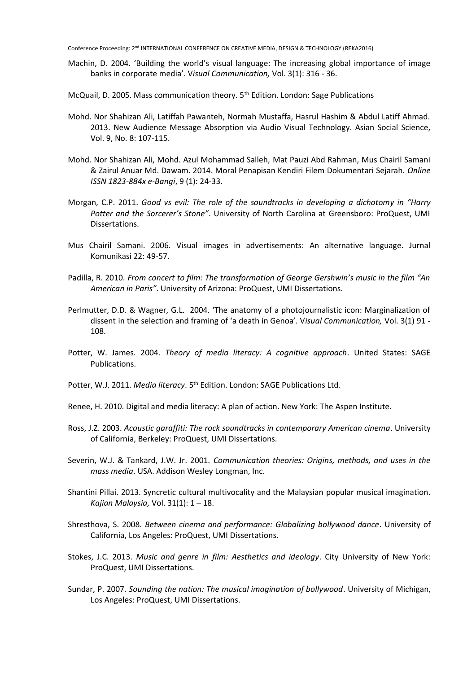- Machin, D. 2004. 'Building the world's visual language: The increasing global importance of image banks in corporate media'. V*isual Communication,* Vol. 3(1): 316 - 36.
- McQuail, D. 2005. Mass communication theory. 5<sup>th</sup> Edition. London: Sage Publications
- Mohd. Nor Shahizan Ali, Latiffah Pawanteh, Normah Mustaffa, Hasrul Hashim & Abdul Latiff Ahmad. 2013. New Audience Message Absorption via Audio Visual Technology. Asian Social Science, Vol. 9, No. 8: 107-115.
- Mohd. Nor Shahizan Ali, Mohd. Azul Mohammad Salleh, Mat Pauzi Abd Rahman, Mus Chairil Samani & Zairul Anuar Md. Dawam. 2014. Moral Penapisan Kendiri Filem Dokumentari Sejarah. *Online ISSN 1823-884x e-Bangi*, 9 (1): 24-33.
- Morgan, C.P. 2011. *Good vs evil: The role of the soundtracks in developing a dichotomy in "Harry Potter and the Sorcerer's Stone"*. University of North Carolina at Greensboro: ProQuest, UMI Dissertations.
- Mus Chairil Samani. 2006. Visual images in advertisements: An alternative language. Jurnal Komunikasi 22: 49-57.
- Padilla, R. 2010. *From concert to film: The transformation of George Gershwin's music in the film "An American in Paris"*. University of Arizona: ProQuest, UMI Dissertations.
- Perlmutter, D.D. & Wagner, G.L. 2004. 'The anatomy of a photojournalistic icon: Marginalization of dissent in the selection and framing of 'a death in Genoa'. V*isual Communication,* Vol. 3(1) 91 - 108.
- Potter, W. James. 2004. *Theory of media literacy: A cognitive approach*. United States: SAGE Publications.
- Potter, W.J. 2011. *Media literacy*. 5<sup>th</sup> Edition. London: SAGE Publications Ltd.
- Renee, H. 2010. Digital and media literacy: A plan of action. New York: The Aspen Institute.
- Ross, J.Z. 2003. *Acoustic garaffiti: The rock soundtracks in contemporary American cinema*. University of California, Berkeley: ProQuest, UMI Dissertations.
- Severin, W.J. & Tankard, J.W. Jr. 2001. *Communication theories: Origins, methods, and uses in the mass media*. USA. Addison Wesley Longman, Inc.
- Shantini Pillai. 2013. Syncretic cultural multivocality and the Malaysian popular musical imagination. *Kajian Malaysia,* Vol. 31(1): 1 – 18.
- Shresthova, S. 2008. *Between cinema and performance: Globalizing bollywood dance*. University of California, Los Angeles: ProQuest, UMI Dissertations.
- Stokes, J.C. 2013. *Music and genre in film: Aesthetics and ideology*. City University of New York: ProQuest, UMI Dissertations.
- Sundar, P. 2007. *Sounding the nation: The musical imagination of bollywood*. University of Michigan, Los Angeles: ProQuest, UMI Dissertations.